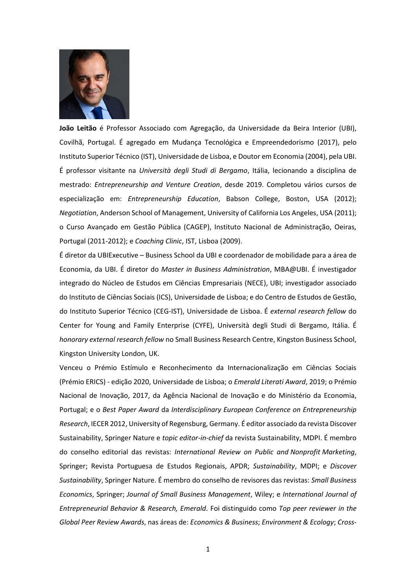

**João Leitão** é Professor Associado com Agregação, da Universidade da Beira Interior (UBI), Covilhã, Portugal. É agregado em Mudança Tecnológica e Empreendedorismo (2017), pelo Instituto Superior Técnico (IST), Universidade de Lisboa, e Doutor em Economia (2004), pela UBI. É professor visitante na *Università degli Studi di Bergamo*, Itália, lecionando a disciplina de mestrado: *Entrepreneurship and Venture Creation*, desde 2019. Completou vários cursos de especialização em: *Entrepreneurship Education*, Babson College, Boston, USA (2012); *Negotiation*, Anderson School of Management, University of California Los Angeles, USA (2011); o Curso Avançado em Gestão Pública (CAGEP), Instituto Nacional de Administração, Oeiras, Portugal (2011-2012); e *Coaching Clinic*, IST, Lisboa (2009).

É diretor da UBIExecutive – Business School da UBI e coordenador de mobilidade para a área de Economia, da UBI. É diretor do *Master in Business Administration*, MBA@UBI. É investigador integrado do Núcleo de Estudos em Ciências Empresariais (NECE), UBI; investigador associado do Instituto de Ciências Sociais (ICS), Universidade de Lisboa; e do Centro de Estudos de Gestão, do Instituto Superior Técnico (CEG-IST), Universidade de Lisboa. É *external research fellow* do Center for Young and Family Enterprise (CYFE), Università degli Studi di Bergamo, Itália. É *honorary external research fellow* no Small Business Research Centre, Kingston Business School, Kingston University London, UK.

Venceu o Prémio Estímulo e Reconhecimento da Internacionalização em Ciências Sociais (Prémio ERICS) - edição 2020, Universidade de Lisboa; o *Emerald Literati Award*, 2019; o Prémio Nacional de Inovação, 2017, da Agência Nacional de Inovação e do Ministério da Economia, Portugal; e o *Best Paper Award* da *Interdisciplinary European Conference on Entrepreneurship Research*, IECER 2012, University of Regensburg, Germany. É editor associado da revista Discover Sustainability, Springer Nature e *topic editor-in-chief* da revista Sustainability, MDPI. É membro do conselho editorial das revistas: *International Review on Public and Nonprofit Marketing*, Springer; Revista Portuguesa de Estudos Regionais, APDR; *Sustainability*, MDPI; e *Discover Sustainability*, Springer Nature. É membro do conselho de revisores das revistas: *Small Business Economics*, Springer; *Journal of Small Business Management*, Wiley; e *International Journal of Entrepreneurial Behavior & Research, Emerald*. Foi distinguido como *Top peer reviewer in the Global Peer Review Awards*, nas áreas de: *Economics & Business*; *Environment & Ecology*; *Cross-*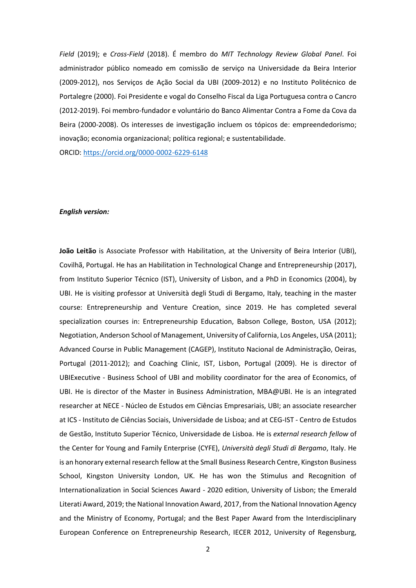*Field* (2019); e *Cross-Field* (2018). É membro do *MIT Technology Review Global Panel*. Foi administrador público nomeado em comissão de serviço na Universidade da Beira Interior (2009-2012), nos Serviços de Ação Social da UBI (2009-2012) e no Instituto Politécnico de Portalegre (2000). Foi Presidente e vogal do Conselho Fiscal da Liga Portuguesa contra o Cancro (2012-2019). Foi membro-fundador e voluntário do Banco Alimentar Contra a Fome da Cova da Beira (2000-2008). Os interesses de investigação incluem os tópicos de: empreendedorismo; inovação; economia organizacional; política regional; e sustentabilidade.

ORCID:<https://orcid.org/0000-0002-6229-6148>

## *English version:*

**João Leitão** is Associate Professor with Habilitation, at the University of Beira Interior (UBI), Covilhã, Portugal. He has an Habilitation in Technological Change and Entrepreneurship (2017), from Instituto Superior Técnico (IST), University of Lisbon, and a PhD in Economics (2004), by UBI. He is visiting professor at Università degli Studi di Bergamo, Italy, teaching in the master course: Entrepreneurship and Venture Creation, since 2019. He has completed several specialization courses in: Entrepreneurship Education, Babson College, Boston, USA (2012); Negotiation, Anderson School of Management, University of California, Los Angeles, USA (2011); Advanced Course in Public Management (CAGEP), Instituto Nacional de Administração, Oeiras, Portugal (2011-2012); and Coaching Clinic, IST, Lisbon, Portugal (2009). He is director of UBIExecutive - Business School of UBI and mobility coordinator for the area of Economics, of UBI. He is director of the Master in Business Administration, MBA@UBI. He is an integrated researcher at NECE - Núcleo de Estudos em Ciências Empresariais, UBI; an associate researcher at ICS - Instituto de Ciências Sociais, Universidade de Lisboa; and at CEG-IST - Centro de Estudos de Gestão, Instituto Superior Técnico, Universidade de Lisboa. He is *external research fellow* of the Center for Young and Family Enterprise (CYFE), *Università degli Studi di Bergamo*, Italy. He is an honorary external research fellow at the Small Business Research Centre, Kingston Business School, Kingston University London, UK. He has won the Stimulus and Recognition of Internationalization in Social Sciences Award - 2020 edition, University of Lisbon; the Emerald Literati Award, 2019; the National Innovation Award, 2017, from the National Innovation Agency and the Ministry of Economy, Portugal; and the Best Paper Award from the Interdisciplinary European Conference on Entrepreneurship Research, IECER 2012, University of Regensburg,